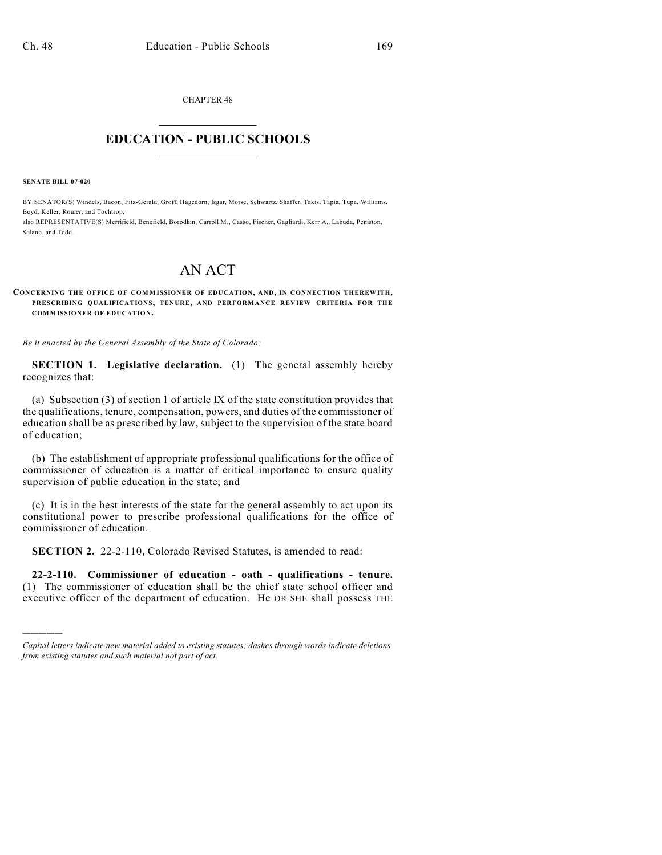CHAPTER 48  $\overline{\phantom{a}}$  . The set of the set of the set of the set of the set of the set of the set of the set of the set of the set of the set of the set of the set of the set of the set of the set of the set of the set of the set o

## **EDUCATION - PUBLIC SCHOOLS**  $\_$   $\_$   $\_$   $\_$   $\_$   $\_$   $\_$   $\_$   $\_$

**SENATE BILL 07-020**

)))))

BY SENATOR(S) Windels, Bacon, Fitz-Gerald, Groff, Hagedorn, Isgar, Morse, Schwartz, Shaffer, Takis, Tapia, Tupa, Williams, Boyd, Keller, Romer, and Tochtrop;

also REPRESENTATIVE(S) Merrifield, Benefield, Borodkin, Carroll M., Casso, Fischer, Gagliardi, Kerr A., Labuda, Peniston, Solano, and Todd.

## AN ACT

## **CONCERNING THE OFFICE OF COM M ISSIONER OF EDUCATION, AND, IN CONNECTION THEREWITH, PRESCRIBING QUALIFICATIONS, TENURE, AND PERFORMANCE REVIEW CRITERIA FOR THE COMMISSIONER OF EDUCATION.**

*Be it enacted by the General Assembly of the State of Colorado:*

**SECTION 1. Legislative declaration.** (1) The general assembly hereby recognizes that:

(a) Subsection (3) of section 1 of article IX of the state constitution provides that the qualifications, tenure, compensation, powers, and duties of the commissioner of education shall be as prescribed by law, subject to the supervision of the state board of education;

(b) The establishment of appropriate professional qualifications for the office of commissioner of education is a matter of critical importance to ensure quality supervision of public education in the state; and

(c) It is in the best interests of the state for the general assembly to act upon its constitutional power to prescribe professional qualifications for the office of commissioner of education.

**SECTION 2.** 22-2-110, Colorado Revised Statutes, is amended to read:

**22-2-110. Commissioner of education - oath - qualifications - tenure.** (1) The commissioner of education shall be the chief state school officer and executive officer of the department of education. He OR SHE shall possess THE

*Capital letters indicate new material added to existing statutes; dashes through words indicate deletions from existing statutes and such material not part of act.*